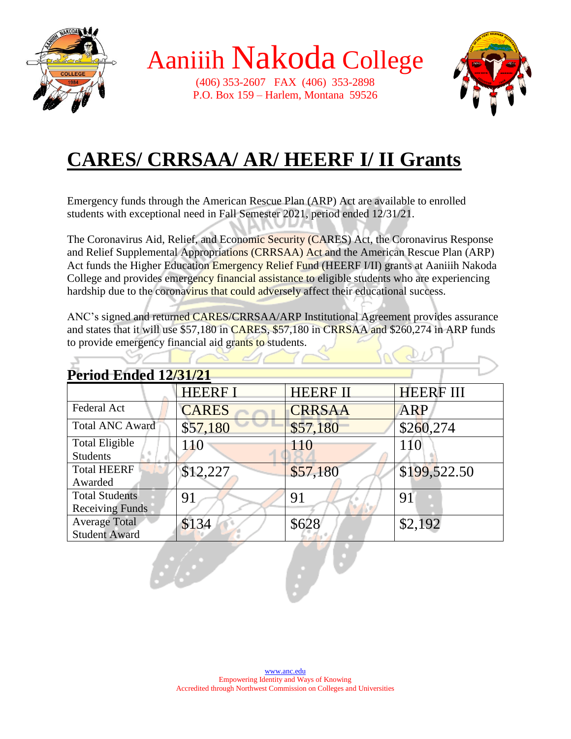

 $\overline{\Delta}$ 

Aaniiih Nakoda College

(406) 353-2607 FAX (406) 353-2898 P.O. Box 159 – Harlem, Montana 59526



### **CARES/ CRRSAA/ AR/ HEERF I/ II Grants**

Emergency funds through the American Rescue Plan (ARP) Act are available to enrolled students with exceptional need in Fall Semester 2021, period ended 12/31/21.

The Coronavirus Aid, Relief, and Economic Security (CARES) Act, the Coronavirus Response and Relief Supplemental Appropriations (CRRSAA) Act and the American Rescue Plan (ARP) Act funds the Higher Education Emergency Relief Fund (HEERF I/II) grants at Aaniiih Nakoda College and provides emergency financial assistance to eligible students who are experiencing hardship due to the coronavirus that could adversely affect their educational success.

ANC's signed and returned CARES/CRRSAA/ARP Institutional Agreement provides assurance and states that it will use \$57,180 in CARES, \$57,180 in CRRSAA and \$260,274 in ARP funds to provide emergency financial aid grants to students.

| <b>Period Ended 12/31/21</b>                    |                |                 |                  |
|-------------------------------------------------|----------------|-----------------|------------------|
|                                                 | <b>HEERF I</b> | <b>HEERF II</b> | <b>HEERF III</b> |
| Federal Act                                     | <b>CARES</b>   | <b>CRRSAA</b>   | <b>ARP</b>       |
| <b>Total ANC Award</b>                          | \$57,180       | \$57,180        | \$260,274        |
| <b>Total Eligible</b><br><b>Students</b>        | 110            | 110             | 110              |
| <b>Total HEERF</b><br>Awarded                   | \$12,227       | \$57,180        | \$199,522.50     |
| <b>Total Students</b><br><b>Receiving Funds</b> | 91             | 91              | 91               |
| <b>Average Total</b><br><b>Student Award</b>    | \$134          | \$628           | \$2,192          |
|                                                 |                |                 |                  |

a.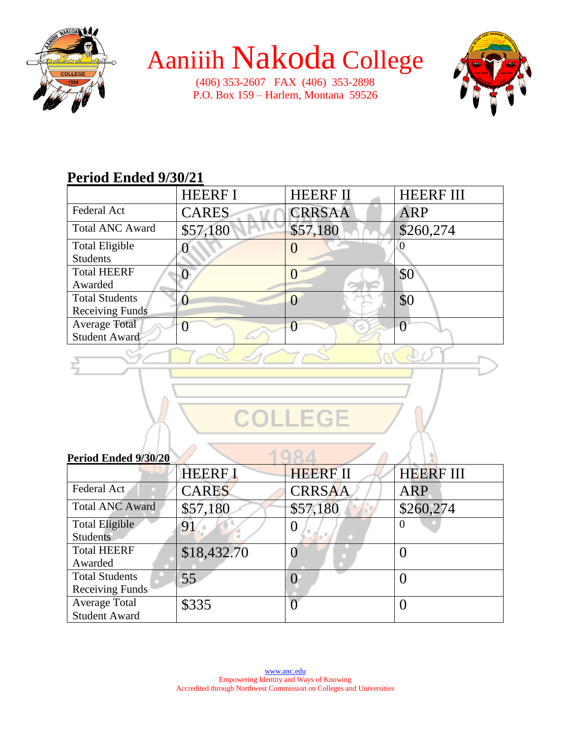

# Aaniiih Nakoda College

(406) 353-2607 FAX (406) 353-2898 P.O. Box 159 – Harlem, Montana 59526



### **Period Ended 9/30/21**

|                        | <b>HEERF I</b> | <b>HEERF II</b> | <b>HEERF III</b> |
|------------------------|----------------|-----------------|------------------|
| Federal Act            | <b>CARES</b>   | <b>CRRSAA</b>   | <b>ARP</b>       |
| <b>Total ANC Award</b> | \$57,180       | \$57,180        | \$260,274        |
| <b>Total Eligible</b>  |                |                 |                  |
| <b>Students</b>        |                |                 |                  |
| <b>Total HEERF</b>     |                |                 | \$0              |
| Awarded                |                |                 |                  |
| <b>Total Students</b>  |                |                 | \$0              |
| <b>Receiving Funds</b> |                |                 |                  |
| <b>Average Total</b>   |                |                 |                  |
| <b>Student Award</b>   |                |                 |                  |
|                        |                |                 |                  |



aD

### **Period Ended 9/30/20**

| I ELIVU EMUEU 2/JV/ZV  |                |                 |                  |
|------------------------|----------------|-----------------|------------------|
|                        | <b>HEERF I</b> | <b>HEERF II</b> | <b>HEERF III</b> |
| Federal Act            | <b>CARES</b>   | <b>CRRSAA</b>   | <b>ARP</b>       |
| <b>Total ANC Award</b> | \$57,180       | \$57,180        | \$260,274        |
| <b>Total Eligible</b>  | 91             | $\theta$        | $\theta$         |
| <b>Students</b>        |                |                 |                  |
| <b>Total HEERF</b>     | \$18,432.70    |                 |                  |
| Awarded                |                |                 |                  |
| <b>Total Students</b>  | 55             |                 |                  |
| Receiving Funds        |                |                 |                  |
| <b>Average Total</b>   | \$335          |                 |                  |
| <b>Student Award</b>   |                |                 |                  |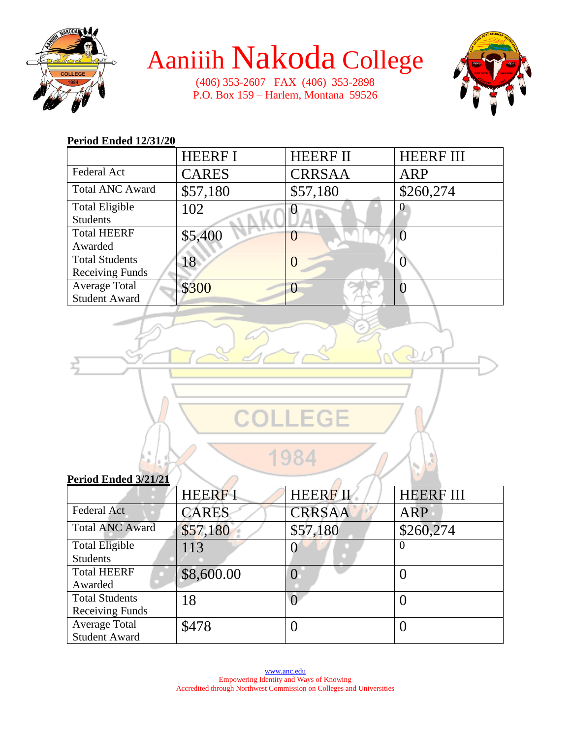

# Aaniiih Nakoda College

(406) 353-2607 FAX (406) 353-2898 P.O. Box 159 – Harlem, Montana 59526



#### **Period Ended 12/31/20**

|                        | <b>HEERF I</b> | <b>HEERF II</b> | <b>HEERF III</b> |
|------------------------|----------------|-----------------|------------------|
| Federal Act            | <b>CARES</b>   | <b>CRRSAA</b>   | ARP              |
| <b>Total ANC Award</b> | \$57,180       | \$57,180        | \$260,274        |
| <b>Total Eligible</b>  | 102            |                 |                  |
| <b>Students</b>        |                |                 |                  |
| <b>Total HEERF</b>     | \$5,400        |                 |                  |
| Awarded                |                |                 |                  |
| <b>Total Students</b>  | 18             |                 |                  |
| <b>Receiving Funds</b> |                |                 |                  |
| <b>Average Total</b>   | \$300          |                 |                  |
| <b>Student Award</b>   |                |                 |                  |

| LEGE                 |  |
|----------------------|--|
| s                    |  |
| Period Ended 3/21/21 |  |

| I CHOU LIRGU MEILEI    |               |                 |                  |
|------------------------|---------------|-----------------|------------------|
|                        | <b>HEERFI</b> | <b>HEERF II</b> | <b>HEERF III</b> |
| <b>Federal Act</b>     | <b>CARES</b>  | <b>CRRSAA</b>   | <b>ARP</b>       |
| <b>Total ANC Award</b> | \$57,180      | \$57,180        | \$260,274        |
| <b>Total Eligible</b>  | 113           |                 | O                |
| <b>Students</b>        |               |                 |                  |
| <b>Total HEERF</b>     | \$8,600.00    |                 |                  |
| Awarded                |               |                 |                  |
| <b>Total Students</b>  | 18            |                 |                  |
| <b>Receiving Funds</b> |               |                 |                  |
| Average Total          | \$478         |                 |                  |
| <b>Student Award</b>   |               |                 |                  |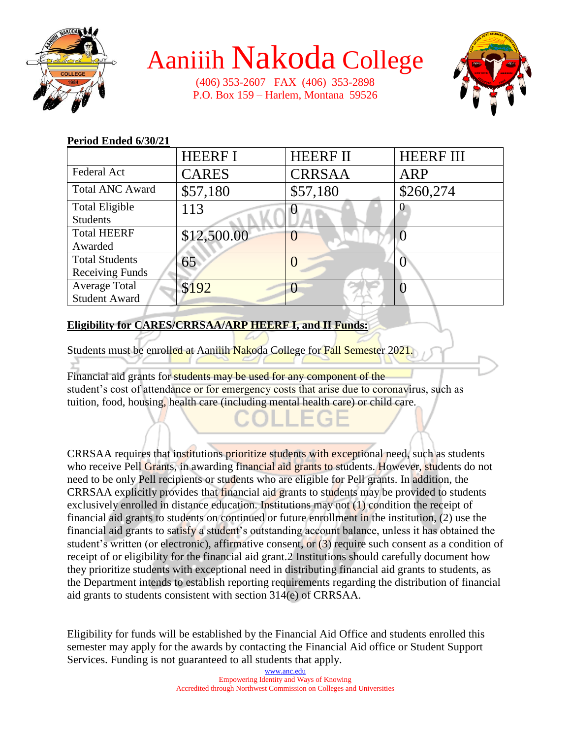

## Aaniiih Nakoda College

(406) 353-2607 FAX (406) 353-2898 P.O. Box 159 – Harlem, Montana 59526



#### HEERF I HEERF II HEERF III Federal Act | CARES | CRRSAA | ARP Total ANC Award  $\begin{array}{|l} \n\sqrt{57,180} \\
\end{array}$  \$57,180 \$260,274 Total Eligible Students 113  $\sqrt{0}$  0 Total HEERF Awarded  $$12,500.00$  0 0 0 0 0 Total Students Receiving Funds 65 0 0 0 Average Total Student Award  $$192$  0  $$192$  10

#### **Period Ended 6/30/21**

### **Eligibility for CARES/CRRSAA/ARP HEERF I, and II Funds:**

Students must be enrolled at Aaniiih Nakoda College for Fall Semester 2021.

Financial aid grants for students may be used for any component of the student's cost of attendance or for emergency costs that arise due to coronavirus, such as tuition, food, housing, health care (including mental health care) or child care.

CRRSAA requires that institutions prioritize students with exceptional need, such as students who receive Pell Grants, in awarding financial aid grants to students. However, students do not need to be only Pell recipients or students who are eligible for Pell grants. In addition, the CRRSAA explicitly provides that financial aid grants to students may be provided to students exclusively enrolled in distance education. Institutions may not (1) condition the receipt of financial aid grants to students on continued or future enrollment in the institution, (2) use the financial aid grants to satisfy a student's outstanding account balance, unless it has obtained the student's written (or electronic), affirmative consent, or (3) require such consent as a condition of receipt of or eligibility for the financial aid grant.2 Institutions should carefully document how they prioritize students with exceptional need in distributing financial aid grants to students, as the Department intends to establish reporting requirements regarding the distribution of financial aid grants to students consistent with section 314(e) of CRRSAA.

Eligibility for funds will be established by the Financial Aid Office and students enrolled this semester may apply for the awards by contacting the Financial Aid office or Student Support Services. Funding is not guaranteed to all students that apply.